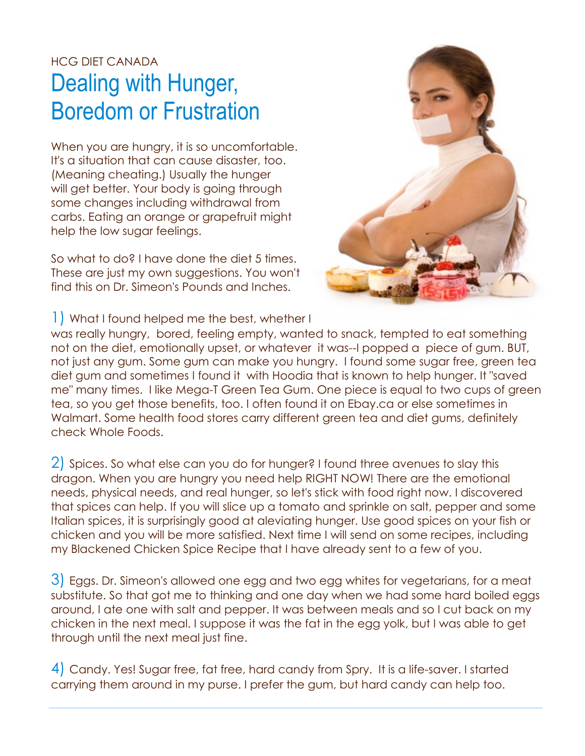## HCG DIET CANADA Dealing with Hunger, Boredom or Frustration

When you are hungry, it is so uncomfortable. It's a situation that can cause disaster, too. (Meaning cheating.) Usually the hunger will get better. Your body is going through some changes including withdrawal from carbs. Eating an orange or grapefruit might help the low sugar feelings.

So what to do? I have done the diet 5 times. These are just my own suggestions. You won't find this on Dr. Simeon's Pounds and Inches.



1) What I found helped me the best, whether I

was really hungry, bored, feeling empty, wanted to snack, tempted to eat something not on the diet, emotionally upset, or whatever it was--I popped a piece of gum. BUT, not just any gum. Some gum can make you hungry. I found some sugar free, green tea diet gum and sometimes I found it with Hoodia that is known to help hunger. It "saved me" many times. I like Mega-T Green Tea Gum. One piece is equal to two cups of green tea, so you get those benefits, too. I often found it on Ebay.ca or else sometimes in Walmart. Some health food stores carry different green tea and diet gums, definitely check Whole Foods.

2) Spices. So what else can you do for hunger? I found three avenues to slay this dragon. When you are hungry you need help RIGHT NOW! There are the emotional needs, physical needs, and real hunger, so let's stick with food right now. I discovered that spices can help. If you will slice up a tomato and sprinkle on salt, pepper and some Italian spices, it is surprisingly good at aleviating hunger. Use good spices on your fish or chicken and you will be more satisfied. Next time I will send on some recipes, including my Blackened Chicken Spice Recipe that I have already sent to a few of you.

3) Eggs. Dr. Simeon's allowed one egg and two egg whites for vegetarians, for a meat substitute. So that got me to thinking and one day when we had some hard boiled eggs around, I ate one with salt and pepper. It was between meals and so I cut back on my chicken in the next meal. I suppose it was the fat in the egg yolk, but I was able to get through until the next meal just fine.

4) Candy. Yes! Sugar free, fat free, hard candy from Spry. It is a life-saver. I started carrying them around in my purse. I prefer the gum, but hard candy can help too.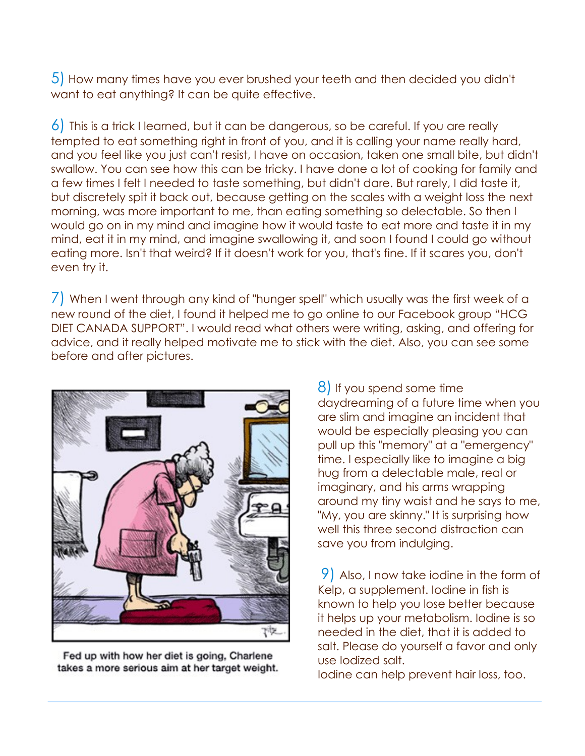5) How many times have you ever brushed your teeth and then decided you didn't want to eat anything? It can be quite effective.

6) This is a trick I learned, but it can be dangerous, so be careful. If you are really tempted to eat something right in front of you, and it is calling your name really hard, and you feel like you just can't resist, I have on occasion, taken one small bite, but didn't swallow. You can see how this can be tricky. I have done a lot of cooking for family and a few times I felt I needed to taste something, but didn't dare. But rarely, I did taste it, but discretely spit it back out, because getting on the scales with a weight loss the next morning, was more important to me, than eating something so delectable. So then I would go on in my mind and imagine how it would taste to eat more and taste it in my mind, eat it in my mind, and imagine swallowing it, and soon I found I could go without eating more. Isn't that weird? If it doesn't work for you, that's fine. If it scares you, don't even try it.

7) When I went through any kind of "hunger spell" which usually was the first week of a new round of the diet, I found it helped me to go online to our Facebook group "HCG DIET CANADA SUPPORT". I would read what others were writing, asking, and offering for advice, and it really helped motivate me to stick with the diet. Also, you can see some before and after pictures.



Fed up with how her diet is going, Charlene takes a more serious aim at her target weight.

8) If you spend some time daydreaming of a future time when you are slim and imagine an incident that would be especially pleasing you can pull up this "memory" at a "emergency" time. I especially like to imagine a big hug from a delectable male, real or imaginary, and his arms wrapping around my tiny waist and he says to me, "My, you are skinny." It is surprising how well this three second distraction can save you from indulging.

9) Also, I now take iodine in the form of Kelp, a supplement. Iodine in fish is known to help you lose better because it helps up your metabolism. Iodine is so needed in the diet, that it is added to salt. Please do yourself a favor and only use Iodized salt.

Iodine can help prevent hair loss, too.